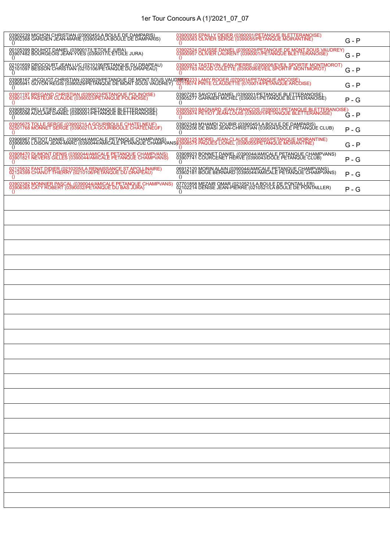# 1er Tour Concours A (1)'2021\_07\_07

| 03902239 MICHON CHRISTIAN (0390045/LA BOULE DE DAMPARIS)<br>03902368 GARDIEN JEAN-MARIE (0390045/LA BOULE DE DAMPARIS)<br>$\left( \right)$                                                                                        | 03900935 EPAILLY DIDIER (0390001/PETANQUE BLETTERANOISE)<br>03903083 OLIVIER SERGE (0390055/PETANQUE MOIRANTINE)<br>$\Omega$                | $G - P$ |
|-----------------------------------------------------------------------------------------------------------------------------------------------------------------------------------------------------------------------------------|---------------------------------------------------------------------------------------------------------------------------------------------|---------|
| 00105399 BOUHOT DANIEL (0390017/L'ETOILE JURA)<br>03907482 BOURGEOIS JEAN-YVES (0390017/L'ETOILE JURA)                                                                                                                            | 03902524 DAUSSE DANIEL (0390029/PETANQUE DE MONT SOUS VAUDREY)<br>03900957 OLIVIER LAURENT (0390001/PETANQUE BLETTERANOISE)<br>O            | $G - P$ |
| 02101659 DROCOURT JEAN LUC (0210106/PETANQUE DU DRAPEAU)<br>02101097 BESSON CHRISTIAN (0210106/PETANQUE DU DRAPEAU)                                                                                                               | 03900974 TASTEVIN JEAN-PIERRE (0390008/EVEIL SPORTIF MONTMOROT)<br>03907783 NICOD COLETTE (0390008/EVEIL SPORTIF MONTMOROT)                 | G - P   |
| 03908167 JACQUOT CHRISTIAN (0390029/PETANQUE DE MONT SOUS VAUDIREN2233 LAMY ROGER (0700014/PETANQUE ARCOISE)<br>03905941 GUYON RÉGIS (0390029/PETANQUE DE MONT SOUS VAUDREY)   02119074 PINTE CLAUDETTE (0700014/PETANQUE ARCOISE |                                                                                                                                             | G - P   |
| 03901197 BREGAND CHRISTIAN (0390023/PETANQUE POLINOISE)<br>03901374 PASTEUR CLAUDE (0390023/PETANQUE POLINOISE)<br>$\Omega$                                                                                                       | 03907281 SAVOYE DANIEL (0390001/PETANQUE BLETTERANOISE)<br>03905277 GARNIER MICHEL (0390001/PETANQUE BLETTERANOISE)<br>$\left( \right)$     | $P - G$ |
| 03908529 PELLETIER JOËL (0390001/PETANQUE BLETTERANOISE)<br>03905096 AUCLAIR DANIEL (0390001/PETANQUE BLETTERANOISE)                                                                                                              | 03905203 BAGNARD JEAN-FRANÇOIS (0390001/PETANQUE BLETTERANOISE)<br>03903974 PETIOT JEAN-LOUIS (0390001/PETANQUE BLETTERANOISE)              | G - P   |
| 03905675 TOLLE SERGE (0390021/LA GOURIBOULE CHATELNEUF)<br>02501768 MONNET SERGE (0390021/LA GOURIBOULE CHATELNEUF)                                                                                                               | 03902349 M'HAMDI ZOUBIR (0390045/LA BOULE DE DAMPARIS)<br>03902206 DE BIASI JEAN-CHRISTIAN (0390043/DOLE PETANQUE CLUB)                     | $P - G$ |
| 03906967 PETIOT DANIEL (0390044/AMICALE PETANQUE CHAMPVANS)  03900125 MOREL JEAN-CLAUDE (0390055/PETANQUE MOIRANTINE)<br>03006090 LOISON JEAN-MARC (0390044/AMICALE PETANQUE CHAMPVANS)03908575 PAQUES LIONEL (0390055/PETANQUE M | $\theta$                                                                                                                                    | $G - P$ |
| 03908470 DUMONT DENIS (0390044/AMICALE PETANQUE CHAMPVANS)<br>03901821 NEVERS GILLES (0390044/AMICALE PETANQUE CHAMPVANS)<br>$\Omega$                                                                                             | 03908923 BONNET DANIEL (0390044/AMICALE PETANQUE CHAMPVANS)<br>03907741 COURCENET HERVE (0390043/DOLE PETANQUE CLUB)<br>$\left( \right)$    | $P - G$ |
| 02125832 FANT DIDIER (0210205/LA RENAISSANCE ST APOLLINAIRE)<br>02124399 CHANUT THIERRY (0210106/PETANQUE DU DRAPEAU)<br>$\Omega$                                                                                                 | 06912120 MORIN ALAIN (0390044/AMICALE PETANQUE CHAMPVANS)<br>03902181 BOUE BERNARD (0390044/AMICALE PETANQUE CHAMPVANS)<br>$\left( \right)$ | $P - G$ |
| 03902382 MONNIER PASCAL (0390044/AMICALE PETANQUE CHAMPVANS)<br>03906365 CATY ROBERT (0390032/PETANQUE DU BAS JURA)<br>$\Omega$                                                                                                   | 07701858 MEZAIR OMAR (0210521/LA BOULE DE PONTAILLER)<br>02102214 DENISE JEAN-PIERRE (0210521/LA BOULE DE PONTAILLER)<br>$\left( \right)$   | $P - G$ |
|                                                                                                                                                                                                                                   |                                                                                                                                             |         |
|                                                                                                                                                                                                                                   |                                                                                                                                             |         |
|                                                                                                                                                                                                                                   |                                                                                                                                             |         |
|                                                                                                                                                                                                                                   |                                                                                                                                             |         |
|                                                                                                                                                                                                                                   |                                                                                                                                             |         |
|                                                                                                                                                                                                                                   |                                                                                                                                             |         |
|                                                                                                                                                                                                                                   |                                                                                                                                             |         |
|                                                                                                                                                                                                                                   |                                                                                                                                             |         |
|                                                                                                                                                                                                                                   |                                                                                                                                             |         |
|                                                                                                                                                                                                                                   |                                                                                                                                             |         |
|                                                                                                                                                                                                                                   |                                                                                                                                             |         |
|                                                                                                                                                                                                                                   |                                                                                                                                             |         |
|                                                                                                                                                                                                                                   |                                                                                                                                             |         |
|                                                                                                                                                                                                                                   |                                                                                                                                             |         |
|                                                                                                                                                                                                                                   |                                                                                                                                             |         |
|                                                                                                                                                                                                                                   |                                                                                                                                             |         |
|                                                                                                                                                                                                                                   |                                                                                                                                             |         |
|                                                                                                                                                                                                                                   |                                                                                                                                             |         |
|                                                                                                                                                                                                                                   |                                                                                                                                             |         |
|                                                                                                                                                                                                                                   |                                                                                                                                             |         |
|                                                                                                                                                                                                                                   |                                                                                                                                             |         |
|                                                                                                                                                                                                                                   |                                                                                                                                             |         |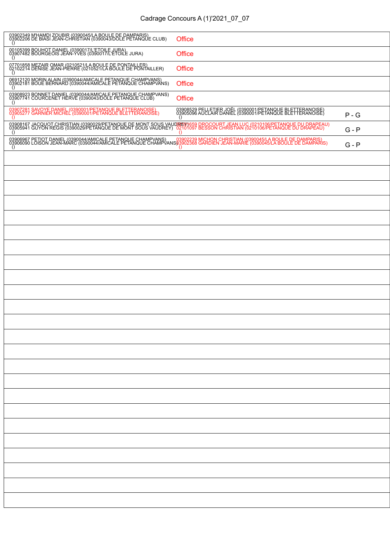# Cadrage Concours A (1)'2021\_07\_07

| 03902349 M'HAMDI ZOUBIR (0390045/LA BOULE DE DAMPARIS)<br>03902206 DE BIASI JEAN-CHRISTIAN (0390043/DOLE PETANQUE CLUB)                                                                                                                        | Office                                                                                                               |         |
|------------------------------------------------------------------------------------------------------------------------------------------------------------------------------------------------------------------------------------------------|----------------------------------------------------------------------------------------------------------------------|---------|
| ()<br>00105399 BOUHOT DANIEL (0390017/L'ETOILE JURA)<br>03907482 BOURGEOIS JEAN-YVES (0390017/L'ETOILE JURA)<br>()                                                                                                                             |                                                                                                                      |         |
|                                                                                                                                                                                                                                                | Office                                                                                                               |         |
| 07701858 MEZAIR OMAR (0210521/LA BOULE DE PONTAILLER)<br>02102214 DENISE JEAN-PIERRE (0210521/LA BOULE DE PONTAILLER)<br>()                                                                                                                    | Office                                                                                                               |         |
| 06912120 MORIN ALAIN (0390044/AMICALE PETANQUE CHAMPVANS)<br>03902181 BOUE BERNARD (0390044/AMICALE PETANQUE CHAMPVANS)<br>()                                                                                                                  | Office                                                                                                               |         |
| 03908923 BONNET DANIEL (0390044/AMICALE PETANQUE CHAMPVANS)<br>03907741 COURCENET HERVE (0390043/DOLE PETANQUE CLUB)<br>_()                                                                                                                    | Office                                                                                                               |         |
| 03907281 SAVOYE DANIEL (0390001/PETANQUE BLETTERANOISE)<br>03905277 GARNIER MICHEL (0390001/PETANQUE BLETTERANOISE)<br>()                                                                                                                      | 03908529 PELLETIER JOËL (0390001/PETANQUE BLETTERANOISE)<br>03905096 AUCLAIR DANIEL (0390001/PETANQUE BLETTERANOISE) | $P - G$ |
| 03908167 JACQUOT CHRISTIAN (0390029/PETANQUE DE MONT SOUS VAU <b>DIREN1</b> 659 DROCOURT JEAN LUC (0210106/PETANQUE DU DRAPEAU)<br>03905941 GUYON RÉGIS (0390029/PETANQUE DE MONT SOUS VAUDREY) 02101097 BESSON CHRISTIAN (0210106/PETAN<br>() | $\left( \right)$                                                                                                     | G - P   |
| 03906967 PETIOT DANIEL (0390044/AMICALE PETANQUE CHAMPVANS) 03902239 MICHON CHRISTIAN (0390045/LA BOULE DE DAMPARIS)<br>03006090 LOISON JEAN-MARC (0390044/AMICALE PETANQUE CHAMPVANS)03902368 GARDIEN JEAN-MARIE (0390045/LA BOU<br>()        | $\Omega$                                                                                                             | $G - P$ |
|                                                                                                                                                                                                                                                |                                                                                                                      |         |
|                                                                                                                                                                                                                                                |                                                                                                                      |         |
|                                                                                                                                                                                                                                                |                                                                                                                      |         |
|                                                                                                                                                                                                                                                |                                                                                                                      |         |
|                                                                                                                                                                                                                                                |                                                                                                                      |         |
|                                                                                                                                                                                                                                                |                                                                                                                      |         |
|                                                                                                                                                                                                                                                |                                                                                                                      |         |
|                                                                                                                                                                                                                                                |                                                                                                                      |         |
|                                                                                                                                                                                                                                                |                                                                                                                      |         |
|                                                                                                                                                                                                                                                |                                                                                                                      |         |
|                                                                                                                                                                                                                                                |                                                                                                                      |         |
|                                                                                                                                                                                                                                                |                                                                                                                      |         |
|                                                                                                                                                                                                                                                |                                                                                                                      |         |
|                                                                                                                                                                                                                                                |                                                                                                                      |         |
|                                                                                                                                                                                                                                                |                                                                                                                      |         |
|                                                                                                                                                                                                                                                |                                                                                                                      |         |
|                                                                                                                                                                                                                                                |                                                                                                                      |         |
|                                                                                                                                                                                                                                                |                                                                                                                      |         |
|                                                                                                                                                                                                                                                |                                                                                                                      |         |
|                                                                                                                                                                                                                                                |                                                                                                                      |         |
|                                                                                                                                                                                                                                                |                                                                                                                      |         |
|                                                                                                                                                                                                                                                |                                                                                                                      |         |
|                                                                                                                                                                                                                                                |                                                                                                                      |         |
|                                                                                                                                                                                                                                                |                                                                                                                      |         |
|                                                                                                                                                                                                                                                |                                                                                                                      |         |
|                                                                                                                                                                                                                                                |                                                                                                                      |         |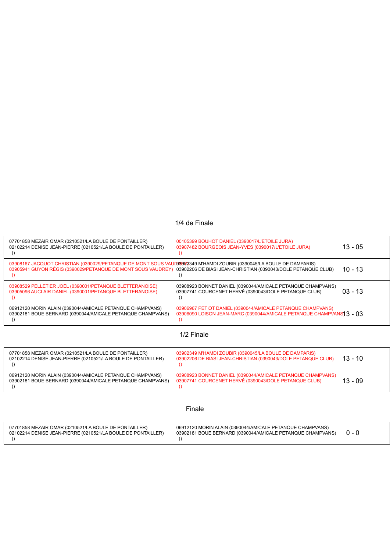### 1/4 de Finale

| 07701858 MEZAIR OMAR (0210521/LA BOULE DE PONTAILLER)<br>02102214 DENISE JEAN-PIERRE (0210521/LA BOULE DE PONTAILLER)<br>$\left( \right)$                                                                                                                      | 00105399 BOUHOT DANIEL (0390017/L'ETOILE JURA)<br>03907482 BOURGEOIS JEAN-YVES (0390017/L'ETOILE JURA)<br>$\left($                              | $13 - 05$ |  |
|----------------------------------------------------------------------------------------------------------------------------------------------------------------------------------------------------------------------------------------------------------------|-------------------------------------------------------------------------------------------------------------------------------------------------|-----------|--|
| 03908167 JACQUOT CHRISTIAN (0390029/PETANQUE DE MONT SOUS VAUDR3902349 M'HAMDI ZOUBIR (0390045/LA BOULE DE DAMPARIS)<br>03905941 GUYON RÉGIS (0390029/PETANQUE DE MONT SOUS VAUDREY) 03902206 DE BIASI JEAN-CHRISTIAN (0390043/DOLE PETANQUE CLUB)<br>$\Omega$ | $\left( \right)$                                                                                                                                | $10 - 13$ |  |
| 03908529 PELLETIER JOËL (0390001/PETANQUE BLETTERANOISE)<br>03905096 AUCLAIR DANIEL (0390001/PETANQUE BLETTERANOISE)<br>$\Omega$                                                                                                                               | 03908923 BONNET DANIEL (0390044/AMICALE PETANQUE CHAMPVANS)<br>03907741 COURCENET HERVÉ (0390043/DOLE PETANQUE CLUB)<br>$\theta$                | $03 - 13$ |  |
| 06912120 MORIN ALAIN (0390044/AMICALE PETANQUE CHAMPVANS)<br>03902181 BOUE BERNARD (0390044/AMICALE PETANQUE CHAMPVANS)<br>()                                                                                                                                  | 03906967 PETIOT DANIEL (0390044/AMICALE PETANQUE CHAMPVANS)<br>03906090 LOISON JEAN-MARC (0390044/AMICALE PETANQUE CHAMPVANS 3 - 03<br>$\Omega$ |           |  |
| 1/2 Finale                                                                                                                                                                                                                                                     |                                                                                                                                                 |           |  |
| 07701858 MEZAIR OMAR (0210521/LA BOULE DE PONTAILLER)<br>02102214 DENISE JEAN-PIERRE (0210521/LA BOULE DE PONTAILLER)<br>()                                                                                                                                    | 03902349 M'HAMDI ZOUBIR (0390045/LA BOULE DE DAMPARIS)<br>03902206 DE BIASI JEAN-CHRISTIAN (0390043/DOLE PETANQUE CLUB)<br>$\Omega$             | $13 - 10$ |  |
| 06912120 MORIN ALAIN (0390044/AMICALE PETANQUE CHAMPVANS)<br>03902181 BOUE BERNARD (0390044/AMICALE PETANQUE CHAMPVANS)<br>$\left( \right)$                                                                                                                    | 03908923 BONNET DANIEL (0390044/AMICALE PETANQUE CHAMPVANS)<br>03907741 COURCENET HERVÉ (0390043/DOLE PETANQUE CLUB)<br>$\left($                | $13 - 09$ |  |
| Finale                                                                                                                                                                                                                                                         |                                                                                                                                                 |           |  |
| 07701858 MEZAIR OMAR (0210521/LA BOULE DE PONTAILLER)<br>02102214 DENISE JEAN-PIERRE (0210521/LA BOULE DE PONTAILLER)                                                                                                                                          | 06912120 MORIN ALAIN (0390044/AMICALE PETANQUE CHAMPVANS)<br>03902181 BOUE BERNARD (0390044/AMICALE PETANQUE CHAMPVANS)                         | $0 - 0$   |  |